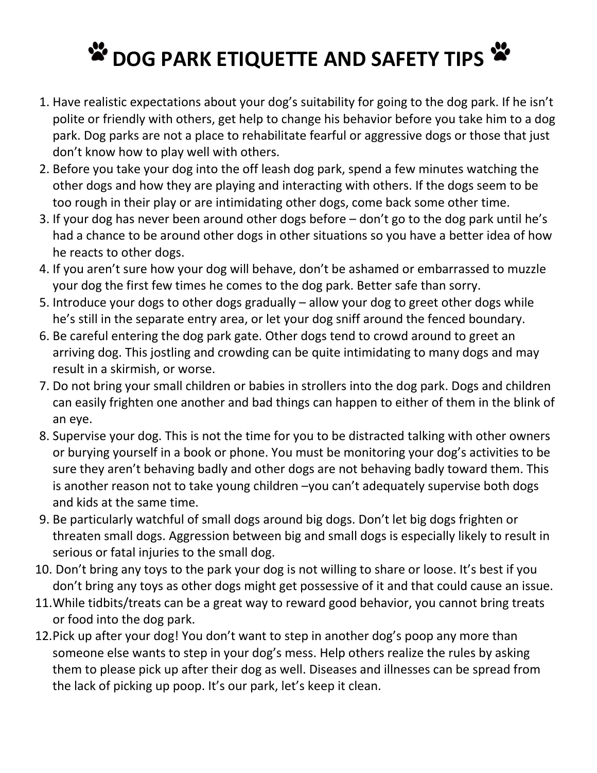## **W** DOG PARK ETIQUETTE AND SAFETY TIPS W

- 1. Have realistic expectations about your dog's suitability for going to the dog park. If he isn't polite or friendly with others, get help to change his behavior before you take him to a dog park. Dog parks are not a place to rehabilitate fearful or aggressive dogs or those that just don't know how to play well with others.
- 2. Before you take your dog into the off leash dog park, spend a few minutes watching the other dogs and how they are playing and interacting with others. If the dogs seem to be too rough in their play or are intimidating other dogs, come back some other time.
- 3. If your dog has never been around other dogs before don't go to the dog park until he's had a chance to be around other dogs in other situations so you have a better idea of how he reacts to other dogs.
- 4. If you aren't sure how your dog will behave, don't be ashamed or embarrassed to muzzle your dog the first few times he comes to the dog park. Better safe than sorry.
- 5. Introduce your dogs to other dogs gradually allow your dog to greet other dogs while he's still in the separate entry area, or let your dog sniff around the fenced boundary.
- 6. Be careful entering the dog park gate. Other dogs tend to crowd around to greet an arriving dog. This jostling and crowding can be quite intimidating to many dogs and may result in a skirmish, or worse.
- 7. Do not bring your small children or babies in strollers into the dog park. Dogs and children can easily frighten one another and bad things can happen to either of them in the blink of an eye.
- 8. Supervise your dog. This is not the time for you to be distracted talking with other owners or burying yourself in a book or phone. You must be monitoring your dog's activities to be sure they aren't behaving badly and other dogs are not behaving badly toward them. This is another reason not to take young children –you can't adequately supervise both dogs and kids at the same time.
- 9. Be particularly watchful of small dogs around big dogs. Don't let big dogs frighten or threaten small dogs. Aggression between big and small dogs is especially likely to result in serious or fatal injuries to the small dog.
- 10. Don't bring any toys to the park your dog is not willing to share or loose. It's best if you don't bring any toys as other dogs might get possessive of it and that could cause an issue.
- 11.While tidbits/treats can be a great way to reward good behavior, you cannot bring treats or food into the dog park.
- 12.Pick up after your dog! You don't want to step in another dog's poop any more than someone else wants to step in your dog's mess. Help others realize the rules by asking them to please pick up after their dog as well. Diseases and illnesses can be spread from the lack of picking up poop. It's our park, let's keep it clean.